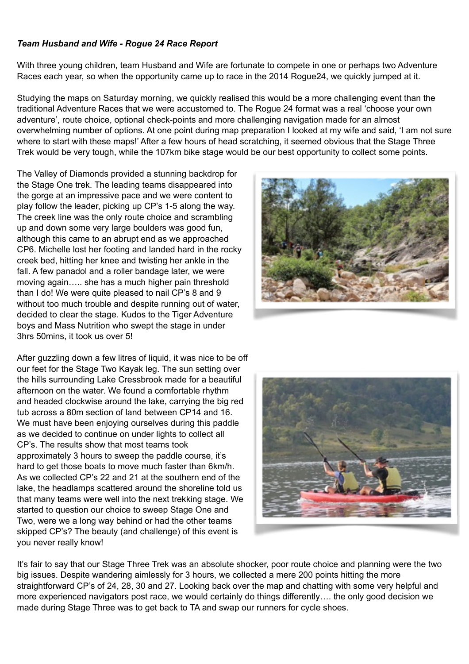## *Team Husband and Wife - Rogue 24 Race Report*

With three young children, team Husband and Wife are fortunate to compete in one or perhaps two Adventure Races each year, so when the opportunity came up to race in the 2014 Rogue24, we quickly jumped at it.

Studying the maps on Saturday morning, we quickly realised this would be a more challenging event than the traditional Adventure Races that we were accustomed to. The Rogue 24 format was a real 'choose your own adventure', route choice, optional check-points and more challenging navigation made for an almost overwhelming number of options. At one point during map preparation I looked at my wife and said, 'I am not sure where to start with these maps!' After a few hours of head scratching, it seemed obvious that the Stage Three Trek would be very tough, while the 107km bike stage would be our best opportunity to collect some points.

The Valley of Diamonds provided a stunning backdrop for the Stage One trek. The leading teams disappeared into the gorge at an impressive pace and we were content to play follow the leader, picking up CP's 1-5 along the way. The creek line was the only route choice and scrambling up and down some very large boulders was good fun, although this came to an abrupt end as we approached CP6. Michelle lost her footing and landed hard in the rocky creek bed, hitting her knee and twisting her ankle in the fall. A few panadol and a roller bandage later, we were moving again….. she has a much higher pain threshold than I do! We were quite pleased to nail CP's 8 and 9 without too much trouble and despite running out of water, decided to clear the stage. Kudos to the Tiger Adventure boys and Mass Nutrition who swept the stage in under 3hrs 50mins, it took us over 5!

After guzzling down a few litres of liquid, it was nice to be off our feet for the Stage Two Kayak leg. The sun setting over the hills surrounding Lake Cressbrook made for a beautiful afternoon on the water. We found a comfortable rhythm and headed clockwise around the lake, carrying the big red tub across a 80m section of land between CP14 and 16. We must have been enjoying ourselves during this paddle as we decided to continue on under lights to collect all CP's. The results show that most teams took approximately 3 hours to sweep the paddle course, it's hard to get those boats to move much faster than 6km/h. As we collected CP's 22 and 21 at the southern end of the lake, the headlamps scattered around the shoreline told us that many teams were well into the next trekking stage. We started to question our choice to sweep Stage One and Two, were we a long way behind or had the other teams skipped CP's? The beauty (and challenge) of this event is you never really know!





It's fair to say that our Stage Three Trek was an absolute shocker, poor route choice and planning were the two big issues. Despite wandering aimlessly for 3 hours, we collected a mere 200 points hitting the more straightforward CP's of 24, 28, 30 and 27. Looking back over the map and chatting with some very helpful and more experienced navigators post race, we would certainly do things differently…. the only good decision we made during Stage Three was to get back to TA and swap our runners for cycle shoes.